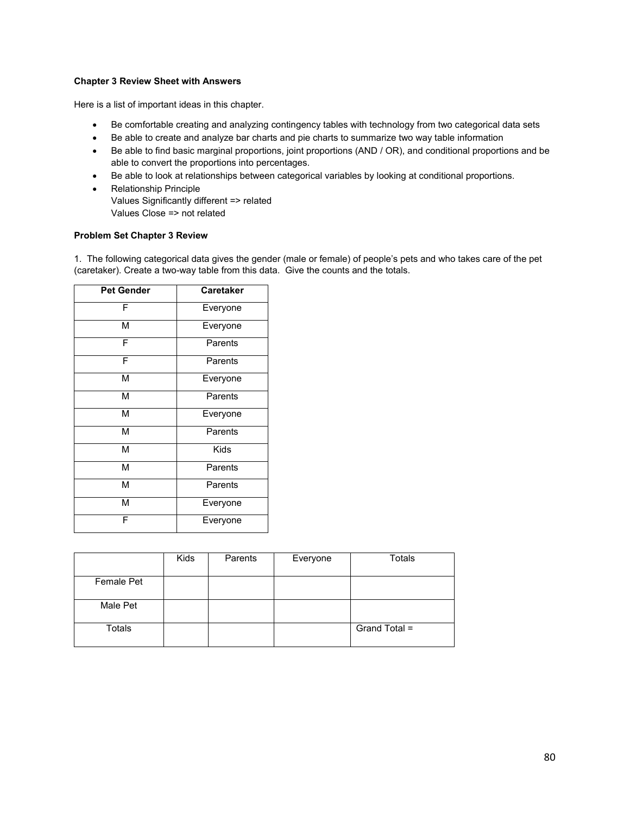## **Chapter 3 Review Sheet with Answers**

Here is a list of important ideas in this chapter.

- Be comfortable creating and analyzing contingency tables with technology from two categorical data sets
- Be able to create and analyze bar charts and pie charts to summarize two way table information
- Be able to find basic marginal proportions, joint proportions (AND / OR), and conditional proportions and be able to convert the proportions into percentages.
- Be able to look at relationships between categorical variables by looking at conditional proportions.
- Relationship Principle Values Significantly different => related Values Close => not related

## **Problem Set Chapter 3 Review**

1. The following categorical data gives the gender (male or female) of people's pets and who takes care of the pet (caretaker). Create a two-way table from this data. Give the counts and the totals.

| <b>Pet Gender</b> | <b>Caretaker</b> |  |  |
|-------------------|------------------|--|--|
| F                 | Everyone         |  |  |
| М                 | Everyone         |  |  |
| F                 | Parents          |  |  |
| F                 | Parents          |  |  |
| М                 | Everyone         |  |  |
| М                 | Parents          |  |  |
| М                 | Everyone         |  |  |
| М                 | Parents          |  |  |
| М                 | <b>Kids</b>      |  |  |
| М                 | Parents          |  |  |
| М                 | Parents          |  |  |
| М                 | Everyone         |  |  |
| F                 | Everyone         |  |  |

|                   | Kids | Parents | Everyone | <b>Totals</b> |
|-------------------|------|---------|----------|---------------|
| <b>Female Pet</b> |      |         |          |               |
| Male Pet          |      |         |          |               |
| Totals            |      |         |          | Grand Total = |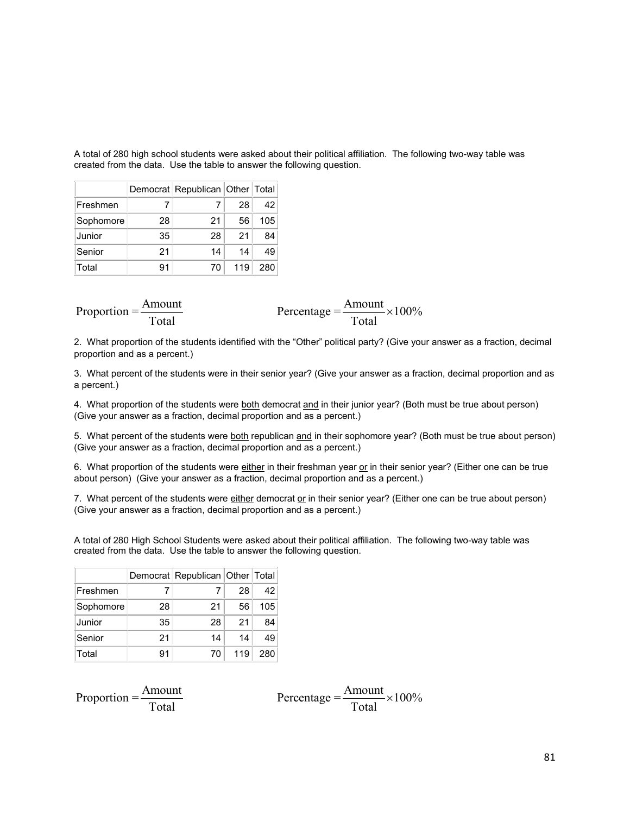A total of 280 high school students were asked about their political affiliation. The following two-way table was created from the data. Use the table to answer the following question.

|           |    | Democrat Republican Other Total |     |     |
|-----------|----|---------------------------------|-----|-----|
| Freshmen  |    |                                 | 28  | 42  |
| Sophomore | 28 | 21                              | 56  | 105 |
| Junior    | 35 | 28                              | 21  | 84  |
| Senior    | 21 | 14                              | 14  | 49  |
| Total     | 91 | 70                              | 119 | 280 |

| Amount<br>Proportion $=\frac{7 \text{ m} \cdot \text{m}}{2 \text{ m}}$ | Percentage = $\frac{\text{Amount}}{1} \times 100\%$ |
|------------------------------------------------------------------------|-----------------------------------------------------|
| Total                                                                  | Total                                               |

2. What proportion of the students identified with the "Other" political party? (Give your answer as a fraction, decimal proportion and as a percent.)

3. What percent of the students were in their senior year? (Give your answer as a fraction, decimal proportion and as a percent.)

4. What proportion of the students were both democrat and in their junior year? (Both must be true about person) (Give your answer as a fraction, decimal proportion and as a percent.)

5. What percent of the students were both republican and in their sophomore year? (Both must be true about person) (Give your answer as a fraction, decimal proportion and as a percent.)

6. What proportion of the students were either in their freshman year or in their senior year? (Either one can be true about person) (Give your answer as a fraction, decimal proportion and as a percent.)

7. What percent of the students were  $e$  inter democrat or in their senior year? (Either one can be true about person) (Give your answer as a fraction, decimal proportion and as a percent.)

A total of 280 High School Students were asked about their political affiliation. The following two-way table was created from the data. Use the table to answer the following question.

|           |    | Democrat Republican Other Total |     |     |
|-----------|----|---------------------------------|-----|-----|
| Freshmen  |    |                                 | 28  | 42  |
| Sophomore | 28 | 21                              | 56  | 105 |
| Junior    | 35 | 28                              | 21  | 84  |
| Senior    | 21 | 14                              | 14  | 49  |
| Total     | 91 | 70                              | 119 | 280 |

| Amount<br>Proportion $=\frac{7 \text{ m} \cdot \text{m}}{2 \text{ m}}$ | Percentage = $\frac{\text{Amount}}{1} \times 100\%$ |  |
|------------------------------------------------------------------------|-----------------------------------------------------|--|
| Total                                                                  | Total                                               |  |